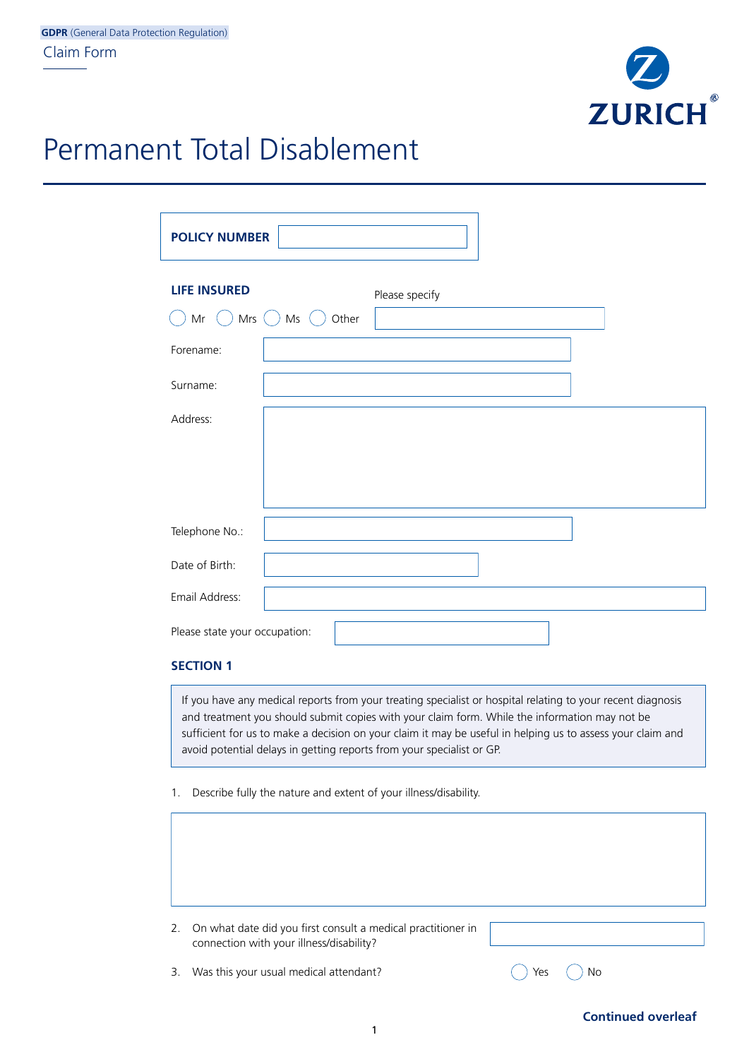

## Permanent Total Disablement

| <b>LIFE INSURED</b>           | Please specify                                                                                                                                                                                                                                                                                                                                                                                                                                                          |
|-------------------------------|-------------------------------------------------------------------------------------------------------------------------------------------------------------------------------------------------------------------------------------------------------------------------------------------------------------------------------------------------------------------------------------------------------------------------------------------------------------------------|
| Mr $($ )                      | Mrs $()$ Ms $()$<br>Other                                                                                                                                                                                                                                                                                                                                                                                                                                               |
| Forename:                     |                                                                                                                                                                                                                                                                                                                                                                                                                                                                         |
| Surname:                      |                                                                                                                                                                                                                                                                                                                                                                                                                                                                         |
| Address:                      |                                                                                                                                                                                                                                                                                                                                                                                                                                                                         |
| Telephone No.:                |                                                                                                                                                                                                                                                                                                                                                                                                                                                                         |
| Date of Birth:                |                                                                                                                                                                                                                                                                                                                                                                                                                                                                         |
| Email Address:                |                                                                                                                                                                                                                                                                                                                                                                                                                                                                         |
| Please state your occupation: |                                                                                                                                                                                                                                                                                                                                                                                                                                                                         |
| <b>SECTION 1</b>              |                                                                                                                                                                                                                                                                                                                                                                                                                                                                         |
| 1.                            | If you have any medical reports from your treating specialist or hospital relating to your recent diagnosis<br>and treatment you should submit copies with your claim form. While the information may not be<br>sufficient for us to make a decision on your claim it may be useful in helping us to assess your claim and<br>avoid potential delays in getting reports from your specialist or GP.<br>Describe fully the nature and extent of your illness/disability. |
|                               |                                                                                                                                                                                                                                                                                                                                                                                                                                                                         |

3. Was this your usual medical attendant?  $\bigcirc$  Yes  $\bigcirc$  No

**Continued overleaf**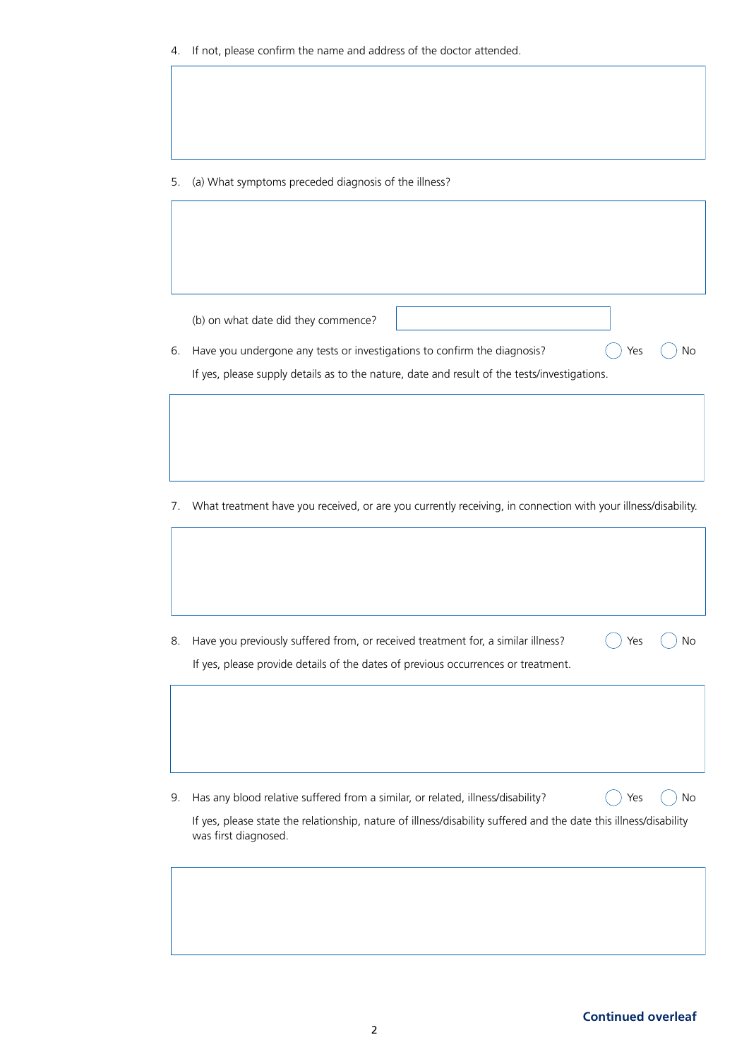5. (a) What symptoms preceded diagnosis of the illness?

(b) on what date did they commence?

6. Have you undergone any tests or investigations to confirm the diagnosis?  $\bigcirc$  Yes  $\bigcirc$  No If yes, please supply details as to the nature, date and result of the tests/investigations.

7. What treatment have you received, or are you currently receiving, in connection with your illness/disability.

8. Have you previously suffered from, or received treatment for, a similar illness?  $\bigcap$  Yes  $\bigcap$  No If yes, please provide details of the dates of previous occurrences or treatment.

9. Has any blood relative suffered from a similar, or related, illness/disability?  $\bigcap$  Yes  $\bigcap$  No

If yes, please state the relationship, nature of illness/disability suffered and the date this illness/disability was first diagnosed.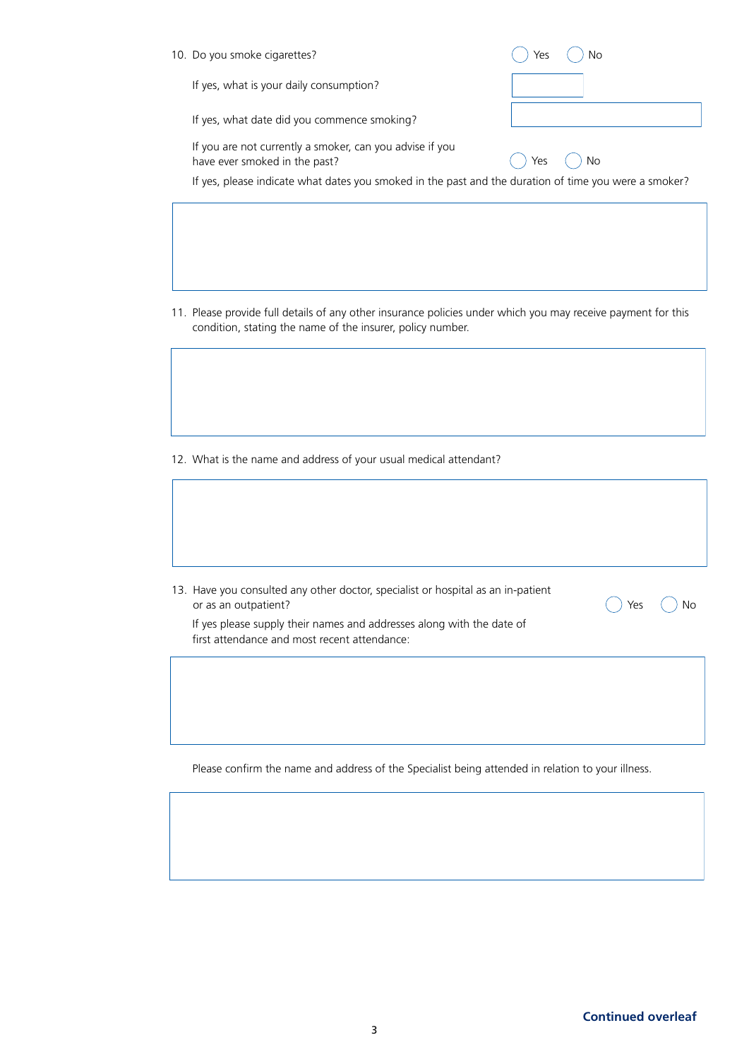| 10. Do you smoke cigarettes?                                                                          | Υρς       |
|-------------------------------------------------------------------------------------------------------|-----------|
| If yes, what is your daily consumption?                                                               |           |
| If yes, what date did you commence smoking?                                                           |           |
| If you are not currently a smoker, can you advise if you<br>have ever smoked in the past?             | No<br>Yes |
| If yes, please indicate what dates you smoked in the past and the duration of time you were a smoker? |           |
|                                                                                                       |           |

11. Please provide full details of any other insurance policies under which you may receive payment for this condition, stating the name of the insurer, policy number.

12. What is the name and address of your usual medical attendant?

13. Have you consulted any other doctor, specialist or hospital as an in-patient or as an outpatient?

If yes please supply their names and addresses along with the date of first attendance and most recent attendance:

Please confirm the name and address of the Specialist being attended in relation to your illness.

 $\bigcirc$  Yes  $\bigcirc$  No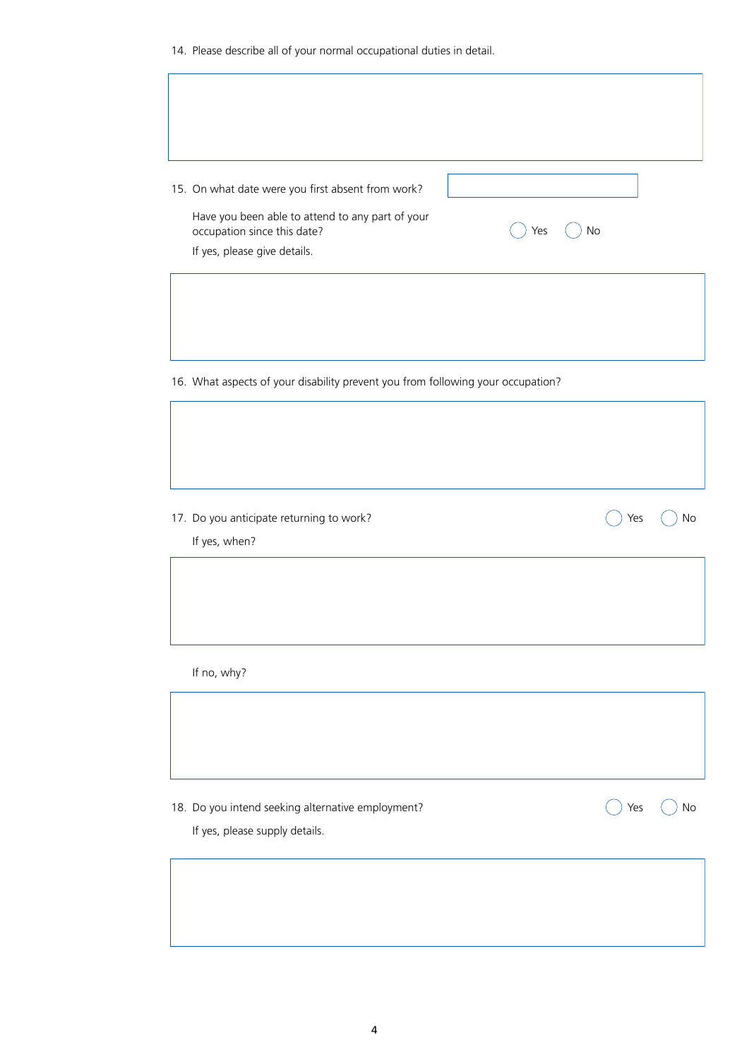14. Please describe all of your normal occupational duties in detail.

| 15. On what date were you first absent from work?                                                               |     |     |    |
|-----------------------------------------------------------------------------------------------------------------|-----|-----|----|
| Have you been able to attend to any part of your<br>occupation since this date?<br>If yes, please give details. | Yes | No  |    |
|                                                                                                                 |     |     |    |
| 16. What aspects of your disability prevent you from following your occupation?                                 |     |     |    |
|                                                                                                                 |     |     |    |
| 17. Do you anticipate returning to work?<br>If yes, when?                                                       |     | Yes | No |
|                                                                                                                 |     |     |    |
| If no, why?                                                                                                     |     |     |    |
|                                                                                                                 |     |     |    |
|                                                                                                                 |     |     |    |
| 18. Do you intend seeking alternative employment?<br>If yes, please supply details.                             |     | Yes | No |